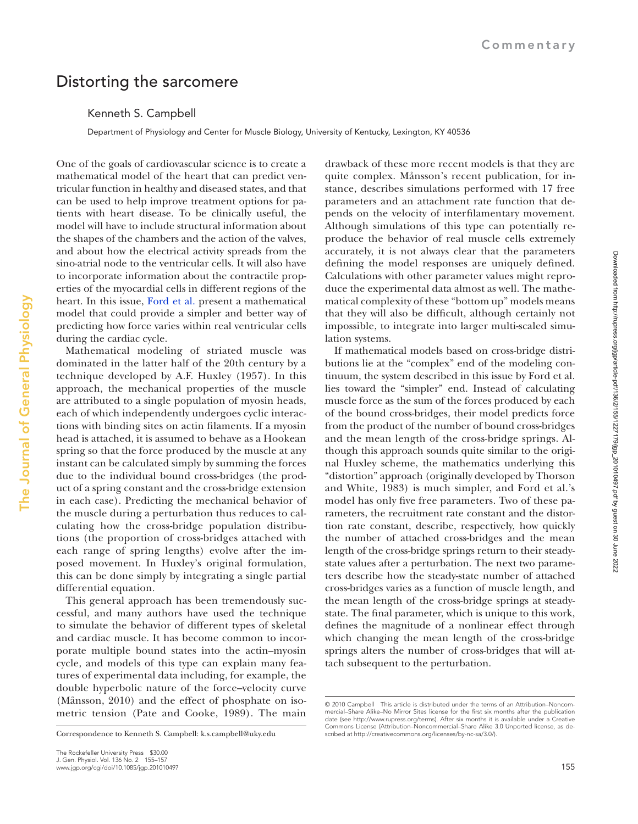## Distorting the sarcomere

## Kenneth S. Campbell

Department of Physiology and Center for Muscle Biology, University of Kentucky, Lexington, KY 40536

One of the goals of cardiovascular science is to create a mathematical model of the heart that can predict ventricular function in healthy and diseased states, and that can be used to help improve treatment options for patients with heart disease. To be clinically useful, the model will have to include structural information about the shapes of the chambers and the action of the valves, and about how the electrical activity spreads from the sino-atrial node to the ventricular cells. It will also have to incorporate information about the contractile properties of the myocardial cells in different regions of the heart. In this issue, [Ford et al.](http://jgp.rupress.org/cgi/content/full/jgp.201010467) present a mathematical model that could provide a simpler and better way of predicting how force varies within real ventricular cells during the cardiac cycle.

Mathematical modeling of striated muscle was dominated in the latter half of the 20th century by a technique developed by A.F. Huxley (1957). In this approach, the mechanical properties of the muscle are attributed to a single population of myosin heads, each of which independently undergoes cyclic interactions with binding sites on actin filaments. If a myosin head is attached, it is assumed to behave as a Hookean spring so that the force produced by the muscle at any instant can be calculated simply by summing the forces due to the individual bound cross-bridges (the product of a spring constant and the cross-bridge extension in each case). Predicting the mechanical behavior of the muscle during a perturbation thus reduces to calculating how the cross-bridge population distributions (the proportion of cross-bridges attached with each range of spring lengths) evolve after the imposed movement. In Huxley's original formulation, this can be done simply by integrating a single partial differential equation.

This general approach has been tremendously successful, and many authors have used the technique to simulate the behavior of different types of skeletal and cardiac muscle. It has become common to incorporate multiple bound states into the actin–myosin cycle, and models of this type can explain many features of experimental data including, for example, the double hyperbolic nature of the force–velocity curve (Månsson, 2010) and the effect of phosphate on isometric tension (Pate and Cooke, 1989). The main

The Journal of General Physiology

The Journal of General Physiology

drawback of these more recent models is that they are quite complex. Månsson's recent publication, for instance, describes simulations performed with 17 free parameters and an attachment rate function that depends on the velocity of interfilamentary movement. Although simulations of this type can potentially reproduce the behavior of real muscle cells extremely accurately, it is not always clear that the parameters defining the model responses are uniquely defined. Calculations with other parameter values might reproduce the experimental data almost as well. The mathematical complexity of these "bottom up" models means that they will also be difficult, although certainly not impossible, to integrate into larger multi-scaled simulation systems.

If mathematical models based on cross-bridge distributions lie at the "complex" end of the modeling continuum, the system described in this issue by Ford et al. lies toward the "simpler" end. Instead of calculating muscle force as the sum of the forces produced by each of the bound cross-bridges, their model predicts force from the product of the number of bound cross-bridges and the mean length of the cross-bridge springs. Although this approach sounds quite similar to the original Huxley scheme, the mathematics underlying this "distortion" approach (originally developed by Thorson and White, 1983) is much simpler, and Ford et al.'s model has only five free parameters. Two of these parameters, the recruitment rate constant and the distortion rate constant, describe, respectively, how quickly the number of attached cross-bridges and the mean length of the cross-bridge springs return to their steadystate values after a perturbation. The next two parameters describe how the steady-state number of attached cross-bridges varies as a function of muscle length, and the mean length of the cross-bridge springs at steadystate. The final parameter, which is unique to this work, defines the magnitude of a nonlinear effect through which changing the mean length of the cross-bridge springs alters the number of cross-bridges that will attach subsequent to the perturbation.

Correspondence to Kenneth S. Campbell: k.s.campbell@uky.edu-

<sup>© 2010</sup> Campbell This article is distributed under the terms of an Attribution–Noncommercial–Share Alike–No Mirror Sites license for the first six months after the publication date (see http://www.rupress.org/terms). After six months it is available under a Creative Commons License (Attribution–Noncommercial–Share Alike 3.0 Unported license, as described at http://creativecommons.org/licenses/by-nc-sa/3.0/).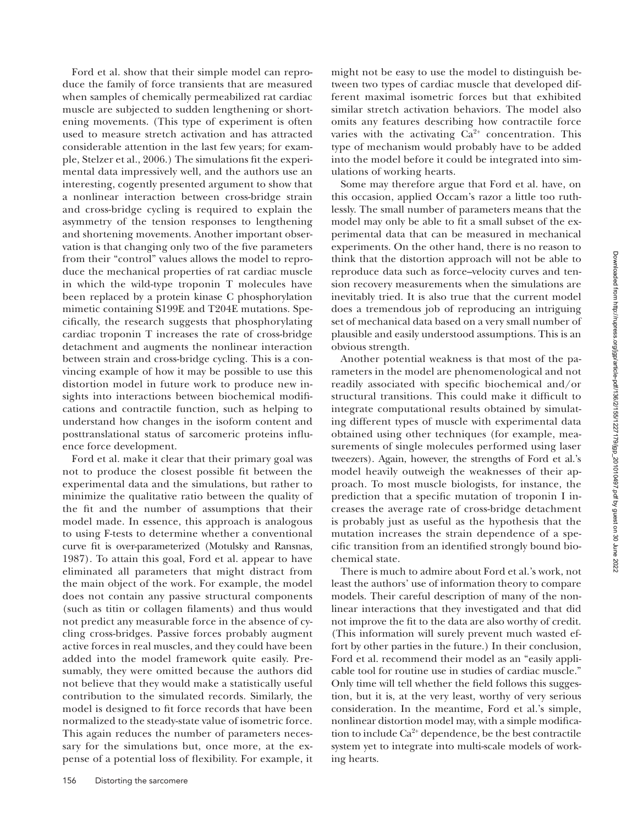Ford et al. show that their simple model can reproduce the family of force transients that are measured when samples of chemically permeabilized rat cardiac muscle are subjected to sudden lengthening or shortening movements. (This type of experiment is often used to measure stretch activation and has attracted considerable attention in the last few years; for example, Stelzer et al., 2006.) The simulations fit the experimental data impressively well, and the authors use an interesting, cogently presented argument to show that a nonlinear interaction between cross-bridge strain and cross-bridge cycling is required to explain the asymmetry of the tension responses to lengthening and shortening movements. Another important observation is that changing only two of the five parameters from their "control" values allows the model to reproduce the mechanical properties of rat cardiac muscle in which the wild-type troponin T molecules have been replaced by a protein kinase C phosphorylation mimetic containing S199E and T204E mutations. Specifically, the research suggests that phosphorylating cardiac troponin T increases the rate of cross-bridge detachment and augments the nonlinear interaction between strain and cross-bridge cycling. This is a convincing example of how it may be possible to use this distortion model in future work to produce new insights into interactions between biochemical modifications and contractile function, such as helping to understand how changes in the isoform content and posttranslational status of sarcomeric proteins influence force development.

Ford et al. make it clear that their primary goal was not to produce the closest possible fit between the experimental data and the simulations, but rather to minimize the qualitative ratio between the quality of the fit and the number of assumptions that their model made. In essence, this approach is analogous to using F-tests to determine whether a conventional curve fit is over-parameterized (Motulsky and Ransnas, 1987). To attain this goal, Ford et al. appear to have eliminated all parameters that might distract from the main object of the work. For example, the model does not contain any passive structural components (such as titin or collagen filaments) and thus would not predict any measurable force in the absence of cycling cross-bridges. Passive forces probably augment active forces in real muscles, and they could have been added into the model framework quite easily. Presumably, they were omitted because the authors did not believe that they would make a statistically useful contribution to the simulated records. Similarly, the model is designed to fit force records that have been normalized to the steady-state value of isometric force. This again reduces the number of parameters necessary for the simulations but, once more, at the expense of a potential loss of flexibility. For example, it might not be easy to use the model to distinguish between two types of cardiac muscle that developed different maximal isometric forces but that exhibited similar stretch activation behaviors. The model also omits any features describing how contractile force varies with the activating  $Ca^{2+}$  concentration. This type of mechanism would probably have to be added into the model before it could be integrated into simulations of working hearts.

Some may therefore argue that Ford et al. have, on this occasion, applied Occam's razor a little too ruthlessly. The small number of parameters means that the model may only be able to fit a small subset of the experimental data that can be measured in mechanical experiments. On the other hand, there is no reason to think that the distortion approach will not be able to reproduce data such as force–velocity curves and tension recovery measurements when the simulations are inevitably tried. It is also true that the current model does a tremendous job of reproducing an intriguing set of mechanical data based on a very small number of plausible and easily understood assumptions. This is an obvious strength.

Another potential weakness is that most of the parameters in the model are phenomenological and not readily associated with specific biochemical and/or structural transitions. This could make it difficult to integrate computational results obtained by simulating different types of muscle with experimental data obtained using other techniques (for example, measurements of single molecules performed using laser tweezers). Again, however, the strengths of Ford et al.'s model heavily outweigh the weaknesses of their approach. To most muscle biologists, for instance, the prediction that a specific mutation of troponin I increases the average rate of cross-bridge detachment is probably just as useful as the hypothesis that the mutation increases the strain dependence of a specific transition from an identified strongly bound biochemical state.

There is much to admire about Ford et al.'s work, not least the authors' use of information theory to compare models. Their careful description of many of the nonlinear interactions that they investigated and that did not improve the fit to the data are also worthy of credit. (This information will surely prevent much wasted effort by other parties in the future.) In their conclusion, Ford et al. recommend their model as an "easily applicable tool for routine use in studies of cardiac muscle." Only time will tell whether the field follows this suggestion, but it is, at the very least, worthy of very serious consideration. In the meantime, Ford et al.'s simple, nonlinear distortion model may, with a simple modification to include  $Ca^{2+}$  dependence, be the best contractile system yet to integrate into multi-scale models of working hearts.